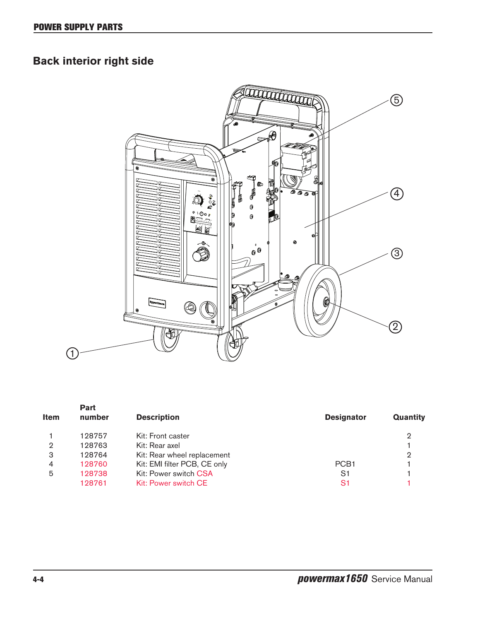## **Back interior right side**



| <b>Item</b> | <b>Part</b><br>number | <b>Description</b>           | <b>Designator</b> | Quantity |
|-------------|-----------------------|------------------------------|-------------------|----------|
|             | 128757                | Kit: Front caster            |                   | 2        |
| 2           | 128763                | Kit: Rear axel               |                   |          |
| 3           | 128764                | Kit: Rear wheel replacement  |                   | 2        |
| 4           | 128760                | Kit: EMI filter PCB, CE only | PCB <sub>1</sub>  |          |
| 5           | 128738                | Kit: Power switch CSA        | S1                |          |
|             | 128761                | Kit: Power switch CE         | S1                |          |
|             |                       |                              |                   |          |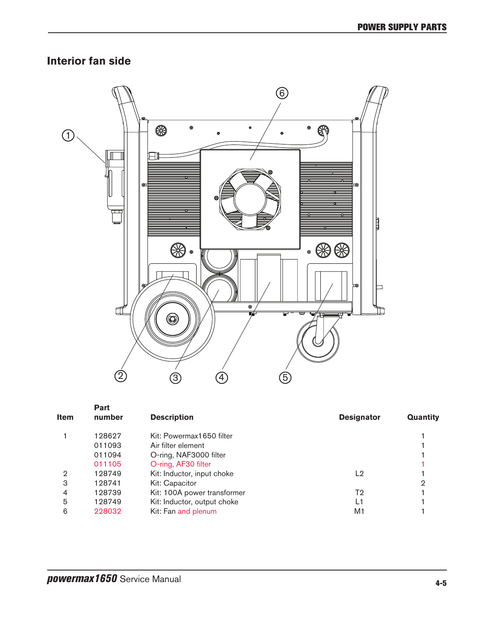## **Interior fan side**



|             | Part   |                             |                   |          |
|-------------|--------|-----------------------------|-------------------|----------|
| <b>Item</b> | number | <b>Description</b>          | <b>Designator</b> | Quantity |
|             | 128627 | Kit: Powermax1650 filter    |                   |          |
|             | 011093 | Air filter element          |                   |          |
|             | 011094 | O-ring, NAF3000 filter      |                   |          |
|             | 011105 | O-ring, AF30 filter         |                   |          |
| 2           | 128749 | Kit: Inductor, input choke  | L <sub>2</sub>    |          |
| 3           | 128741 | Kit: Capacitor              |                   | 2        |
| 4           | 128739 | Kit: 100A power transformer | T2                |          |
| 5           | 128749 | Kit: Inductor, output choke | L1                |          |
| 6           | 228032 | Kit: Fan and plenum         | M1                |          |
|             |        |                             |                   |          |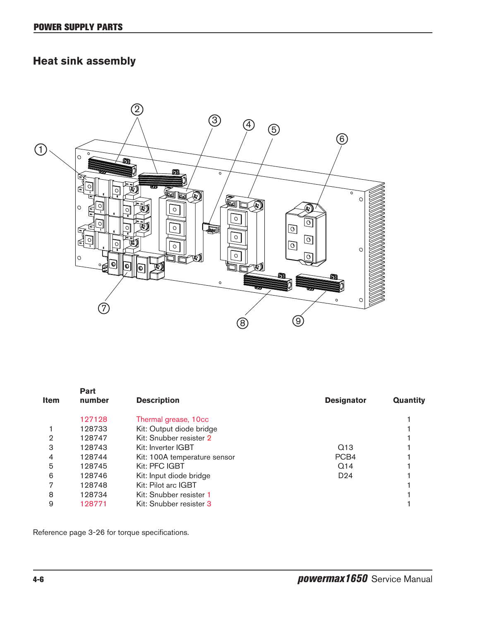## **Heat sink assembly**



| <b>Item</b> | Part<br>number | <b>Description</b>           | <b>Designator</b> | <b>Quantity</b> |
|-------------|----------------|------------------------------|-------------------|-----------------|
|             | 127128         | Thermal grease, 10cc         |                   |                 |
|             | 128733         | Kit: Output diode bridge     |                   |                 |
| 2           | 128747         | Kit: Snubber resister 2      |                   |                 |
| 3           | 128743         | Kit: Inverter IGBT           | Q13               |                 |
| 4           | 128744         | Kit: 100A temperature sensor | PCB <sub>4</sub>  |                 |
| 5           | 128745         | Kit: PFC IGBT                | Q14               |                 |
| 6           | 128746         | Kit: Input diode bridge      | D <sub>24</sub>   |                 |
| 7           | 128748         | Kit: Pilot arc IGBT          |                   |                 |
| 8           | 128734         | Kit: Snubber resister 1      |                   |                 |
| 9           | 128771         | Kit: Snubber resister 3      |                   |                 |
|             |                |                              |                   |                 |

Reference page 3-26 for torque specifications.